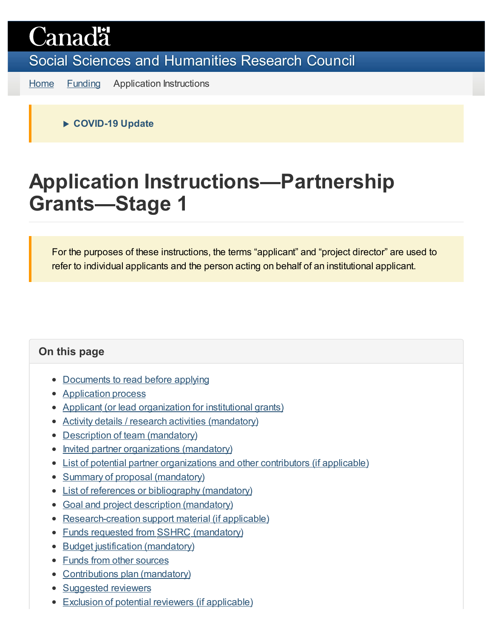# **Canadä**

Social Sciences and [Humanities Research](https://www.sshrc-crsh.gc.ca/home-accueil-eng.aspx) Council

[Home](https://www.sshrc-crsh.gc.ca/home-accueil-eng.aspx) [Funding](https://www.sshrc-crsh.gc.ca/funding-financement/index-eng.aspx) Application Instructions

**COVID-19 Update**

## **Application Instructions—Partnership Grants—Stage 1**

For the purposes of these instructions, the terms "applicant" and "project director" are used to refer to individual applicants and the person acting on behalf of an institutional applicant.

### **On this page**

- [Documents to](#page-1-0) read before applying
- [Application](#page-1-1) process
- Applicant (or lead [organization](#page-4-0) for institutional grants)
- Activity details / research [activities \(mandatory\)](#page-6-0)
- Description of team [\(mandatory\)](#page-10-0)
- Invited partner [organizations \(mandatory\)](#page-10-1)
- List of potential partner [organizations and](#page-12-0) other contributors (if applicable)
- Summary of proposal [\(mandatory\)](#page-12-1)
- List of [references or](#page-12-2) bibliography (mandatory)
- Goal and project description [\(mandatory\)](#page-13-0)
- [Research-creation](#page-15-0) support material (if applicable)
- [Funds requested](#page-16-0) from SSHRC (mandatory)
- Budget justification [\(mandatory\)](#page-18-0)
- [Funds from](#page-18-1) other sources
- [Contributions plan](#page-19-0) (mandatory)
- [Suggested](#page-19-1) reviewers
- **Exclusion of potential [reviewers \(if](#page-20-0) applicable)**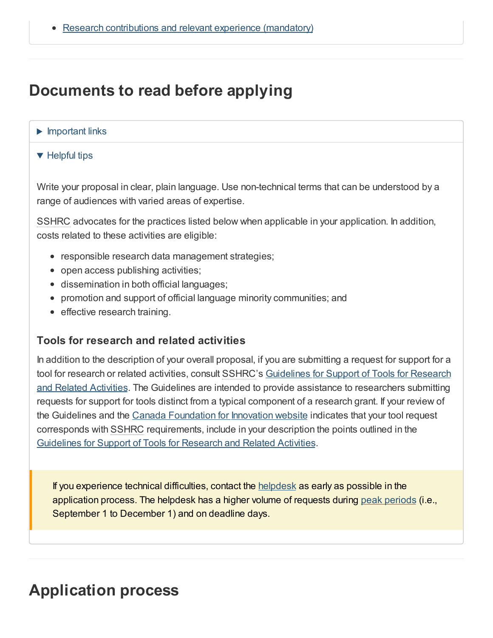## <span id="page-1-0"></span>**Documents to read before applying**

#### $\blacktriangleright$  Important links

#### $\blacktriangledown$  Helpful tips

Write your proposal in clear, plain language. Use non-technical terms that can be understood by a range of audiences with varied areas of expertise.

SSHRC advocates for the practices listed below when applicable in your application. In addition, costs related to these activities are eligible:

- responsible research data management strategies;
- open access publishing activities;
- dissemination in both official languages;
- promotion and support of official language minority communities; and
- effective research training.

#### **Tools for research and related activities**

In addition to the description of your overall proposal, if you are submitting a request for support for a tool for research or related activities, consult SSHRC's Guidelines for Support of Tools for Research and Related Activities. The Guidelines are intended to provide assistance to [researchers](https://www.sshrc-crsh.gc.ca/funding-financement/policies-politiques/support_tools_soutien_outils-eng.aspx) submitting requests for support for tools distinct from a typical component of a research grant. If your review of the Guidelines and the Canada [Foundation](http://www.innovation.ca/en) for Innovation website indicates that your tool request corresponds with SSHRC requirements, include in your description the points outlined in the [Guidelines](https://www.sshrc-crsh.gc.ca/funding-financement/policies-politiques/support_tools_soutien_outils-eng.aspx) for Support of Tools for Research and Related Activities.

If you experience technical difficulties, contact the [helpdesk](mailto:webgrant@sshrc-crsh.gc.ca) as early as possible in the application process. The helpdesk has a higher volume of requests during peak [periods](https://www.sshrc-crsh.gc.ca/help-aide/index-eng.aspx) (i.e., September 1 to December 1) and on deadline days.

## <span id="page-1-1"></span>**Application process**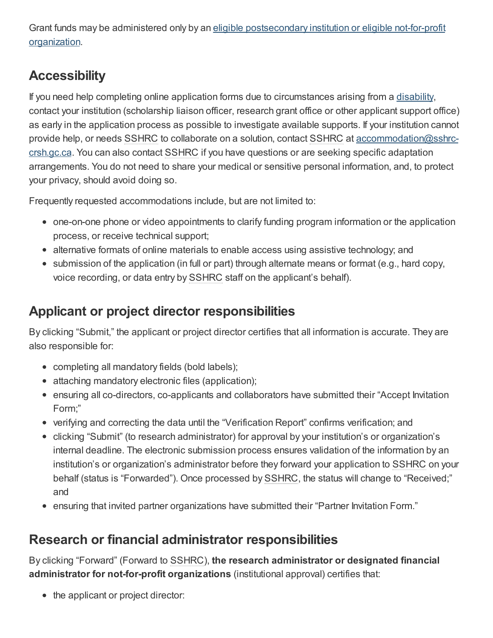Grant funds may be administered only by an eligible [postsecondary](https://www.sshrc-crsh.gc.ca/about-au_sujet/policies-politiques/statements-enonces/list_eligible_institutions-liste_etablissements-admissibles-eng.aspx) institution or eligible not-for-profit organization.

## **Accessibility**

If you need help completing online application forms due to circumstances arising from a [disability](https://www.sshrc-crsh.gc.ca/funding-financement/programs-programmes/definitions-eng.aspx#a31), contact your institution (scholarship liaison officer, research grant office or other applicant support office) as early in the application process as possible to investigate available supports. If your institution cannot provide help, or needs SSHRC to collaborate on a solution, contact SSHRC at [accommodation@sshrc](mailto:accommodation@sshrc-crsh.gc.ca)crsh.gc.ca. You can also contact SSHRC if you have questions or are seeking specific adaptation arrangements. You do not need to share your medical or sensitive personal information, and, to protect your privacy, should avoid doing so.

Frequently requested accommodations include, but are not limited to:

- one-on-one phone or video appointments to clarify funding program information or the application process, or receive technical support;
- alternative formats of online materials to enable access using assistive technology; and
- submission of the application (in full or part) through alternate means or format (e.g., hard copy, voice recording, or data entry by SSHRC staff on the applicant's behalf).

## **Applicant or project director responsibilities**

By clicking "Submit," the applicant or project director certifies that all information is accurate. They are also responsible for:

- completing all mandatory fields (bold labels);
- attaching mandatory electronic files (application);
- ensuring all co-directors, co-applicants and collaborators have submitted their "Accept Invitation Form;"
- verifying and correcting the data until the "Verification Report" confirms verification; and
- clicking "Submit" (to research administrator) for approval by your institution's or organization's internal deadline. The electronic submission process ensures validation of the information by an institution's or organization's administrator before they forward your application to SSHRC on your behalf (status is "Forwarded"). Once processed by SSHRC, the status will change to "Received;" and
- ensuring that invited partner organizations have submitted their "Partner Invitation Form."

## **Research or financial administrator responsibilities**

By clicking "Forward" (Forward to SSHRC), **the research administrator or designated financial administrator for not-for-profit organizations** (institutional approval) certifies that:

• the applicant or project director: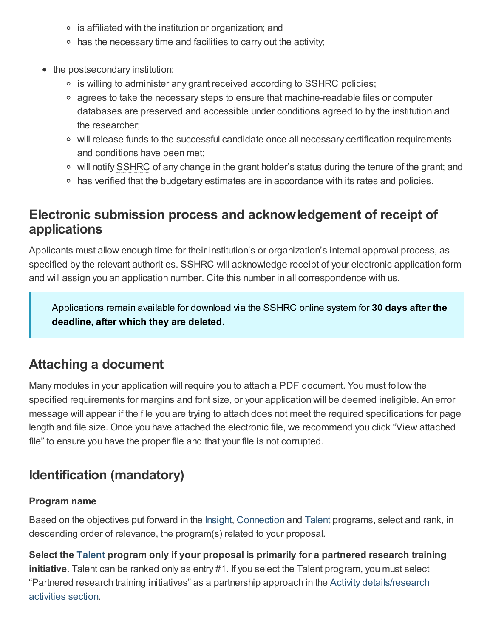- $\circ$  is affiliated with the institution or organization; and
- $\circ$  has the necessary time and facilities to carry out the activity;
- the postsecondary institution:
	- is willing to administer any grant received according to SSHRC policies;
	- $\circ$  agrees to take the necessary steps to ensure that machine-readable files or computer databases are preserved and accessible under conditions agreed to by the institution and the researcher;
	- $\circ$  will release funds to the successful candidate once all necessary certification requirements and conditions have been met;
	- will notify SSHRC of any change in the grant holder's status during the tenure of the grant; and
	- has verified that the budgetary estimates are in accordance with its rates and policies.

### **Electronic submission process and acknowledgement of receipt of applications**

Applicants must allow enough time for their institution's or organization's internal approval process, as specified by the relevant authorities. SSHRC will acknowledge receipt of your electronic application form and will assign you an application number. Cite this number in all correspondence with us.

Applications remain available for download via the SSHRC online system for **30 days after the deadline, after which they are deleted.**

### <span id="page-3-1"></span>**Attaching a document**

Many modules in your application will require you to attach a PDF document. You must follow the specified requirements for margins and font size, or your application will be deemed ineligible. An error message will appear if the file you are trying to attach does not meet the required specifications for page length and file size. Once you have attached the electronic file, we recommend you click "View attached file" to ensure you have the proper file and that your file is not corrupted.

## <span id="page-3-0"></span>**Identification (mandatory)**

#### **Program name**

Based on the objectives put forward in the [Insight](https://www.sshrc-crsh.gc.ca/funding-financement/umbrella_programs-programme_cadre/insight-savoir-eng.aspx), [Connection](https://www.sshrc-crsh.gc.ca/funding-financement/umbrella_programs-programme_cadre/connection-connexion-eng.aspx) and [Talent](https://www.sshrc-crsh.gc.ca/funding-financement/umbrella_programs-programme_cadre/talent-eng.aspx) programs, select and rank, in descending order of relevance, the program(s) related to your proposal.

**Select the [Talent](https://www.sshrc-crsh.gc.ca/funding-financement/umbrella_programs-programme_cadre/talent-eng.aspx) program only if your proposal is primarily for a partnered research training initiative**. Talent can be ranked only as entry #1. If you select the Talent program, you must select "Partnered research training initiatives" as a partnership approach in the **Activity [details/research](#page-6-0)** activities section.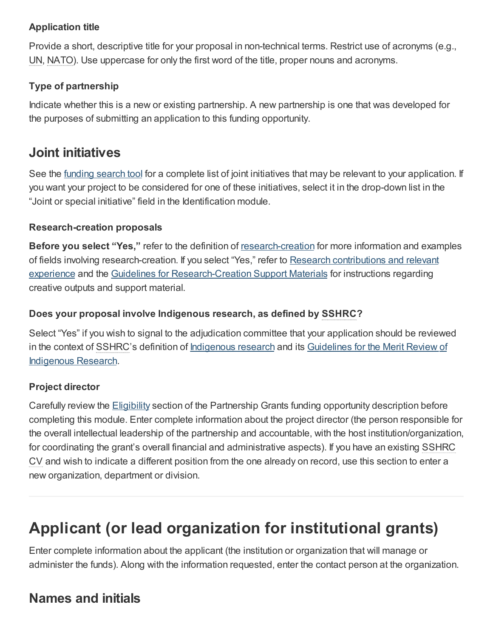### **Application title**

Provide a short, descriptive title for your proposal in non-technical terms. Restrict use of acronyms (e.g., UN, NATO). Use uppercase for only the first word of the title, proper nouns and acronyms.

### **Type of partnership**

Indicate whether this is a new or existing partnership. A new partnership is one that was developed for the purposes of submitting an application to this funding opportunity.

### **Joint initiatives**

See the [funding](https://www.sshrc-crsh.gc.ca/funding-financement/search_tool-outil_de_recherche-eng.aspx?tID=3) search tool for a complete list of joint initiatives that may be relevant to your application. If you want your project to be considered for one of these initiatives, select it in the drop-down list in the "Joint or special initiative" field in the Identification module.

#### **Research-creation proposals**

**Before you select "Yes,"** refer to the definition of [research-creation](https://www.sshrc-crsh.gc.ca/funding-financement/programs-programmes/definitions-eng.aspx#a22) for more information and examples of fields involving [research-creation.](#page-20-1) If you select "Yes," refer to Research contributions and relevant experience and the Guidelines for [Research-Creation](https://www.sshrc-crsh.gc.ca/funding-financement/policies-politiques/research_creation-recherche_creation-eng.aspx) Support Materials for instructions regarding creative outputs and support material.

### **Does your proposal involve Indigenous research, as defined by SSHRC?**

Select "Yes" if you wish to signal to the adjudication committee that your application should be reviewed in the context of SSHRC's definition of **[Indigenous](https://www.sshrc-crsh.gc.ca/funding-financement/merit_review-evaluation_du_merite/guidelines_research-lignes_directrices_recherche-eng.aspx) research** and its Guidelines for the Merit Review of Indigenous Research.

### **Project director**

Carefully review the **[Eligibility](https://www.sshrc-crsh.gc.ca/funding-financement/programs-programmes/partnership_grants_stage2-subventions_partenariat_etape2-eng.aspx#4) section of the Partnership Grants funding opportunity description before** completing this module. Enter complete information about the project director (the person responsible for the overall intellectual leadership of the partnership and accountable, with the host institution/organization, for coordinating the grant's overall financial and administrative aspects). If you have an existing SSHRC CV and wish to indicate a different position from the one already on record, use this section to enter a new organization, department or division.

## <span id="page-4-0"></span>**Applicant (or lead organization for institutional grants)**

Enter complete information about the applicant (the institution or organization that will manage or administer the funds). Along with the information requested, enter the contact person at the organization.

## **Names and initials**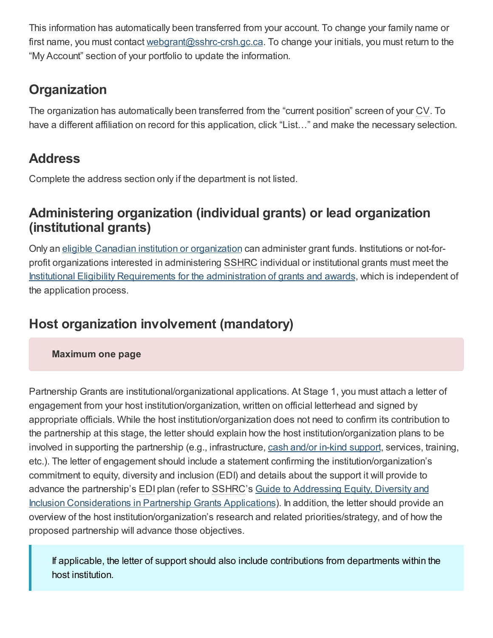This information has automatically been transferred from your account. To change your family name or first name, you must contact [webgrant@sshrc-crsh.gc.ca](mailto:webgrant@sshrc-crsh.gc.ca). To change your initials, you must return to the "My Account" section of your portfolio to update the information.

## **Organization**

The organization has automatically been transferred from the "current position" screen of your CV. To have a different affiliation on record for this application, click "List…" and make the necessary selection.

## **Address**

Complete the address section only if the department is not listed.

### **Administering organization (individual grants) or lead organization (institutional grants)**

Only an eligible Canadian institution or [organization](https://www.sshrc-crsh.gc.ca/about-au_sujet/policies-politiques/statements-enonces/list_eligible_institutions-liste_etablissements-admissibles-eng.aspx) can administer grant funds. Institutions or not-forprofit organizations interested in administering SSHRC individual or institutional grants must meet the Institutional Eligibility Requirements for the [administration](http://science.gc.ca/eic/site/063.nsf/eng/h_3D5FA603.html?OpenDocument) of grants and awards, which is independent of the application process.

## **Host organization involvement (mandatory)**

**Maximum one page**

Partnership Grants are institutional/organizational applications. At Stage 1, you must attach a letter of engagement from your host institution/organization, written on official letterhead and signed by appropriate officials. While the host institution/organization does not need to confirm its contribution to the partnership at this stage, the letter should explain how the host institution/organization plans to be involved in [support](https://www.sshrc-crsh.gc.ca/funding-financement/policies-politiques/cash_inkind-especes_en_nature-eng.aspx)ing the partnership (e.g., infrastructure, cash and/or in-kind support, services, training, etc.). The letter of engagement should include a statement confirming the institution/organization's commitment to equity, diversity and inclusion (EDI) and details about the support it will provide to advance the partnership's EDI plan (refer to SSHRC's Guide to Addressing Equity, Diversity and Inclusion [Considerations](https://www.sshrc-crsh.gc.ca/funding-financement/apply-demande/guides/partnership_edi_guide-partenariats_guide_edi-eng.aspx) in Partnership Grants Applications). In addition, the letter should provide an overview of the host institution/organization's research and related priorities/strategy, and of how the proposed partnership will advance those objectives.

If applicable, the letter of support should also include contributions from departments within the host institution.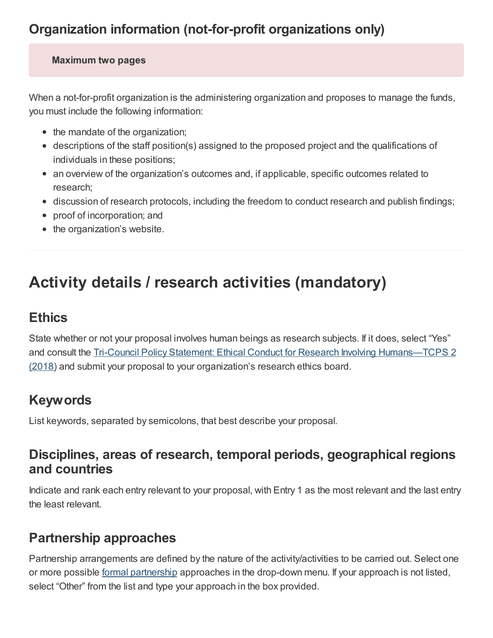#### **Maximum two pages**

When a not-for-profit organization is the administering organization and proposes to manage the funds, you must include the following information:

- the mandate of the organization;
- descriptions of the staff position(s) assigned to the proposed project and the qualifications of individuals in these positions;
- an overview of the organization's outcomes and, if applicable, specific outcomes related to research;
- discussion of research protocols, including the freedom to conduct research and publish findings;
- proof of incorporation; and
- the organization's website.

## <span id="page-6-0"></span>**Activity details / research activities (mandatory)**

### **Ethics**

State whether or not your proposal involves human beings as research subjects. If it does, select "Yes" and consult the Tri-Council Policy Statement: Ethical Conduct for Research Involving [Humans—TCPS](https://ethics.gc.ca/eng/policy-politique_tcps2-eptc2_2018.html) 2 (2018) and submit your proposal to your organization's research ethics board.

### **Keywords**

List keywords, separated by semicolons, that best describe your proposal.

### **Disciplines, areas of research, temporal periods, geographical regions and countries**

Indicate and rank each entry relevant to your proposal, with Entry 1 as the most relevant and the last entry the least relevant.

### **Partnership approaches**

Partnership arrangements are defined by the nature of the activity/activities to be carried out. Select one or more possible formal [partnership](https://www.sshrc-crsh.gc.ca/funding-financement/programs-programmes/definitions-eng.aspx#a10) approaches in the drop-down menu. If your approach is not listed, select "Other" from the list and type your approach in the box provided.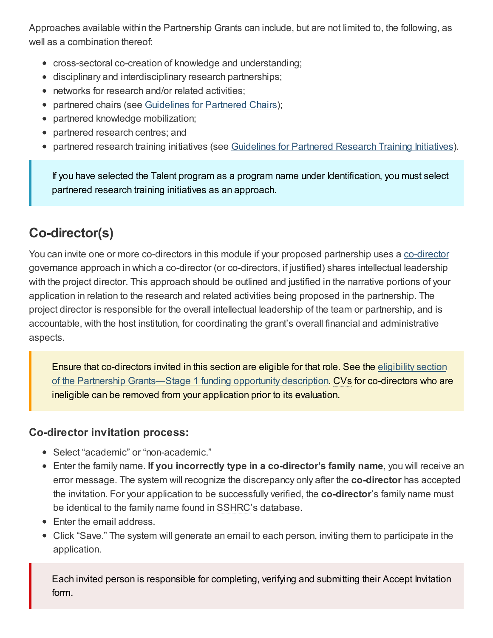Approaches available within the Partnership Grants can include, but are not limited to, the following, as well as a combination thereof:

- cross-sectoral co-creation of knowledge and understanding;
- disciplinary and interdisciplinary research partnerships;
- networks for research and/or related activities:
- partnered chairs (see [Guidelines](https://www.sshrc-crsh.gc.ca/funding-financement/policies-politiques/partnered_chairs-chaires_partenariat-eng.aspx) for Partnered Chairs);  $\bullet$
- partnered knowledge mobilization;
- partnered research centres; and  $\bullet$
- partnered research training initiatives (see [Guidelines](https://www.sshrc-crsh.gc.ca/funding-financement/policies-politiques/partnered_research_training-partenariat_de_formation_de_recherche-eng.aspx) for Partnered Research Training Initiatives).

If you have selected the Talent program as a program name under Identification, you must select partnered research training initiatives as an approach.

## **Co-director(s)**

You can invite one or more [co-director](https://www.sshrc-crsh.gc.ca/funding-financement/programs-programmes/definitions-eng.aspx#a30)s in this module if your proposed partnership uses a co-director governance approach in which a co-director (or co-directors, if justified) shares intellectual leadership with the project director. This approach should be outlined and justified in the narrative portions of your application in relation to the research and related activities being proposed in the partnership. The project director is responsible for the overall intellectual leadership of the team or partnership, and is accountable, with the host institution, for coordinating the grant's overall financial and administrative aspects.

Ensure that co-directors invited in this section are eligible for that role. See the eligibility section of the Partnership [Grants—Stage](https://www.sshrc-crsh.gc.ca/funding-financement/programs-programmes/partnership_grants_stage1-subventions_partenariat_etape1-eng.aspx#4) 1 funding opportunity description. CVs for co-directors who are ineligible can be removed from your application prior to its evaluation.

### **Co-director invitation process:**

- Select "academic" or "non-academic."
- Enter the family name. **If you incorrectly type in a co-director's family name**, you will receive an error message. The system will recognize the discrepancy only after the **co-director** has accepted the invitation. For your application to be successfully verified, the **co-director**'s family name must be identical to the family name found in SSHRC's database.
- Enter the email address.
- Click "Save." The system will generate an email to each person, inviting them to participate in the application.

Each invited person is responsible for completing, verifying and submitting their Accept Invitation form.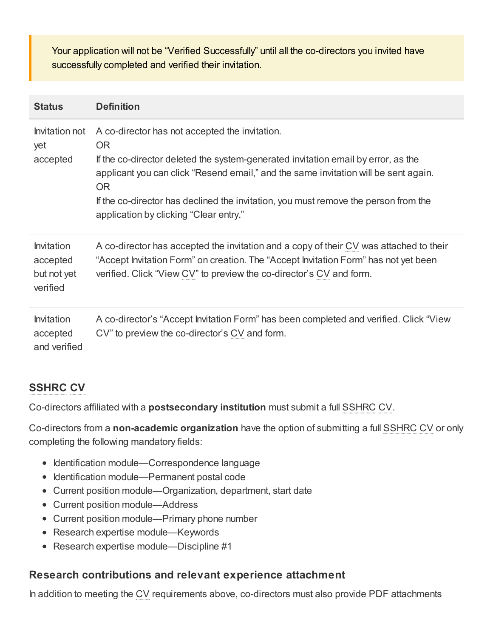Your application will not be "Verified Successfully" until all the co-directors you invited have successfully completed and verified their invitation.

| <b>Status</b>                                            | <b>Definition</b>                                                                                                                                                                                                                                                                                                                                                               |
|----------------------------------------------------------|---------------------------------------------------------------------------------------------------------------------------------------------------------------------------------------------------------------------------------------------------------------------------------------------------------------------------------------------------------------------------------|
| Invitation not<br>yet<br>accepted                        | A co-director has not accepted the invitation.<br>OR.<br>If the co-director deleted the system-generated invitation email by error, as the<br>applicant you can click "Resend email," and the same invitation will be sent again.<br><b>OR</b><br>If the co-director has declined the invitation, you must remove the person from the<br>application by clicking "Clear entry." |
| <b>Invitation</b><br>accepted<br>but not yet<br>verified | A co-director has accepted the invitation and a copy of their CV was attached to their<br>"Accept Invitation Form" on creation. The "Accept Invitation Form" has not yet been<br>verified. Click "View CV" to preview the co-director's CV and form.                                                                                                                            |
| <b>Invitation</b><br>accepted<br>and verified            | A co-director's "Accept Invitation Form" has been completed and verified. Click "View"<br>CV" to preview the co-director's CV and form.                                                                                                                                                                                                                                         |

### **SSHRC CV**

Co-directors affiliated with a **postsecondary institution** must submit a full SSHRC CV.

Co-directors from a **non-academic organization** have the option of submitting a full SSHRC CV or only completing the following mandatory fields:

- Identification module—Correspondence language
- Identification module—Permanent postal code
- Current position module—Organization, department, start date
- Current position module—Address
- Current position module—Primary phone number
- Research expertise module—Keywords
- Research expertise module—Discipline #1

### **Research contributions and relevant experience attachment**

In addition to meeting the CV requirements above, co-directors must also provide PDF attachments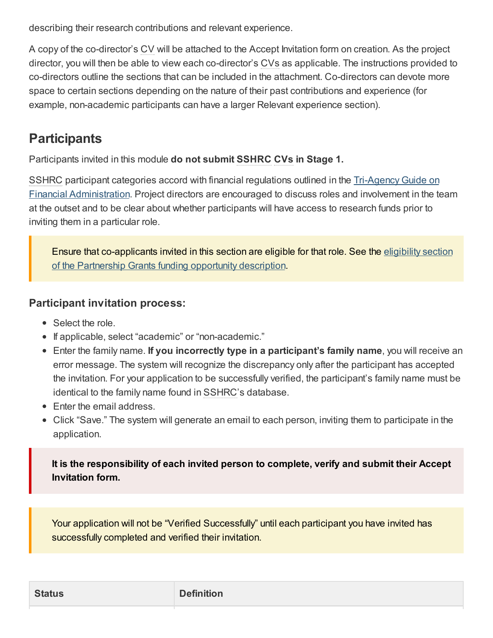describing their research contributions and relevant experience.

A copy of the co-director's CV will be attached to the Accept Invitation form on creation. As the project director, you will then be able to view each co-director's CVs as applicable. The instructions provided to co-directors outline the sections that can be included in the attachment. Co-directors can devote more space to certain sections depending on the nature of their past contributions and experience (for example, non-academic participants can have a larger Relevant experience section).

### **Participants**

Participants invited in this module **do not submit SSHRC CVs in Stage 1.**

SSHRC participant categories accord with financial regulations outlined in the <u>Tri-Agency Guide on</u> Financial [Administration.](https://www.nserc-crsng.gc.ca/InterAgency-Interorganismes/TAFA-AFTO/guide-guide_eng.asp) Project directors are encouraged to discuss roles and involvement in the team at the outset and to be clear about whether participants will have access to research funds prior to inviting them in a particular role.

Ensure that [co-applicants](https://www.sshrc-crsh.gc.ca/funding-financement/programs-programmes/partnership_grants_stage1-subventions_partenariat_etape1-eng.aspx#4) invited in this section are eligible for that role. See the eligibility section of the Partnership Grants funding opportunity description.

### **Participant invitation process:**

- Select the role.
- If applicable, select "academic" or "non-academic."
- Enter the family name. **If you incorrectly type in a participant's family name**, you will receive an error message. The system will recognize the discrepancy only after the participant has accepted the invitation. For your application to be successfully verified, the participant's family name must be identical to the family name found in SSHRC's database.
- Enter the email address.
- Click "Save." The system will generate an email to each person, inviting them to participate in the application.

**It is the responsibility of each invited person to complete, verify and submit their Accept Invitation form.**

Your application will not be "Verified Successfully" until each participant you have invited has successfully completed and verified their invitation.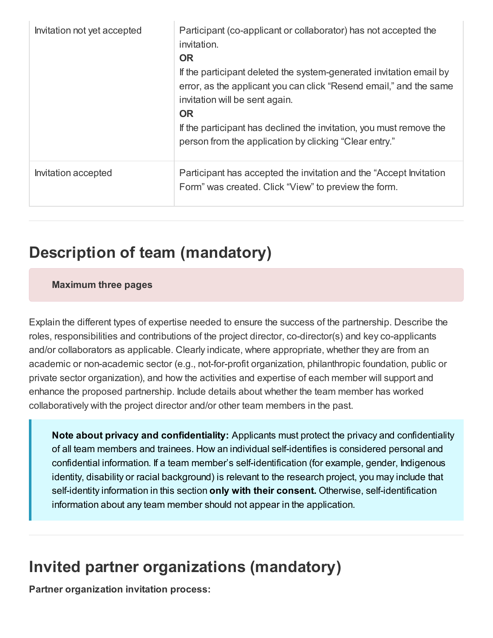| Invitation not yet accepted | Participant (co-applicant or collaborator) has not accepted the<br>invitation.<br><b>OR</b><br>If the participant deleted the system-generated invitation email by<br>error, as the applicant you can click "Resend email," and the same<br>invitation will be sent again.<br><b>OR</b><br>If the participant has declined the invitation, you must remove the<br>person from the application by clicking "Clear entry." |
|-----------------------------|--------------------------------------------------------------------------------------------------------------------------------------------------------------------------------------------------------------------------------------------------------------------------------------------------------------------------------------------------------------------------------------------------------------------------|
| Invitation accepted         | Participant has accepted the invitation and the "Accept Invitation"<br>Form" was created. Click "View" to preview the form.                                                                                                                                                                                                                                                                                              |

## <span id="page-10-0"></span>**Description of team (mandatory)**

#### **Maximum three pages**

Explain the different types of expertise needed to ensure the success of the partnership. Describe the roles, responsibilities and contributions of the project director, co-director(s) and key co-applicants and/or collaborators as applicable. Clearly indicate, where appropriate, whether they are from an academic or non-academic sector (e.g., not-for-profit organization, philanthropic foundation, public or private sector organization), and how the activities and expertise of each member will support and enhance the proposed partnership. Include details about whether the team member has worked collaboratively with the project director and/or other team members in the past.

**Note about privacy and confidentiality:** Applicants must protect the privacy and confidentiality of all team members and trainees. How an individual self-identifies is considered personal and confidential information. If a team member's self-identification (for example, gender, Indigenous identity, disability or racial background) is relevant to the research project, you may include that self-identity information in this section **only with their consent.** Otherwise, self-identification information about any team member should not appear in the application.

## <span id="page-10-1"></span>**Invited partner organizations (mandatory)**

**Partner organization invitation process:**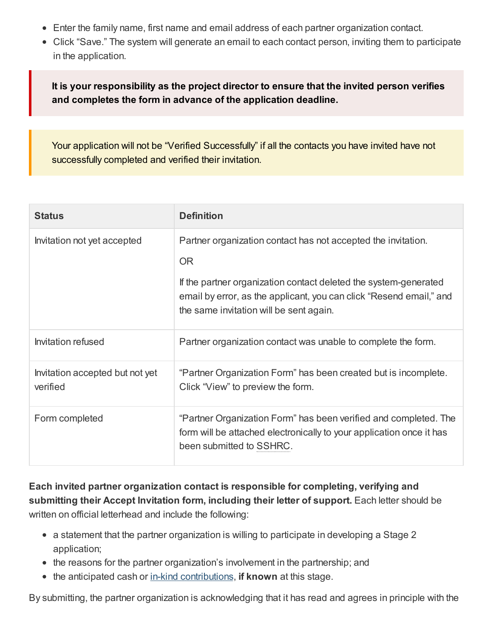- Enter the family name, first name and email address of each partner organization contact.
- Click "Save." The system will generate an email to each contact person, inviting them to participate in the application.

**It is your responsibility as the project director to ensure that the invited person verifies and completes the form in advance of the application deadline.**

Your application will not be "Verified Successfully" if all the contacts you have invited have not successfully completed and verified their invitation.

| <b>Status</b>                               | <b>Definition</b>                                                                                                                                                                                                                                                |  |  |
|---------------------------------------------|------------------------------------------------------------------------------------------------------------------------------------------------------------------------------------------------------------------------------------------------------------------|--|--|
| Invitation not yet accepted                 | Partner organization contact has not accepted the invitation.<br><b>OR</b><br>If the partner organization contact deleted the system-generated<br>email by error, as the applicant, you can click "Resend email," and<br>the same invitation will be sent again. |  |  |
| Invitation refused                          | Partner organization contact was unable to complete the form.                                                                                                                                                                                                    |  |  |
| Invitation accepted but not yet<br>verified | "Partner Organization Form" has been created but is incomplete.<br>Click "View" to preview the form.                                                                                                                                                             |  |  |
| Form completed                              | "Partner Organization Form" has been verified and completed. The<br>form will be attached electronically to your application once it has<br>been submitted to SSHRC.                                                                                             |  |  |

**Each invited partner organization contact is responsible for completing, verifying and submitting their Accept Invitation form, including their letter of support.** Each letter should be written on official letterhead and include the following:

- a statement that the partner organization is willing to participate in developing a Stage 2 application;
- the reasons for the partner organization's involvement in the partnership; and
- the anticipated cash or in-kind [contributions](https://www.sshrc-crsh.gc.ca/funding-financement/programs-programmes/definitions-eng.aspx#a15), **if known** at this stage.

By submitting, the partner organization is acknowledging that it has read and agrees in principle with the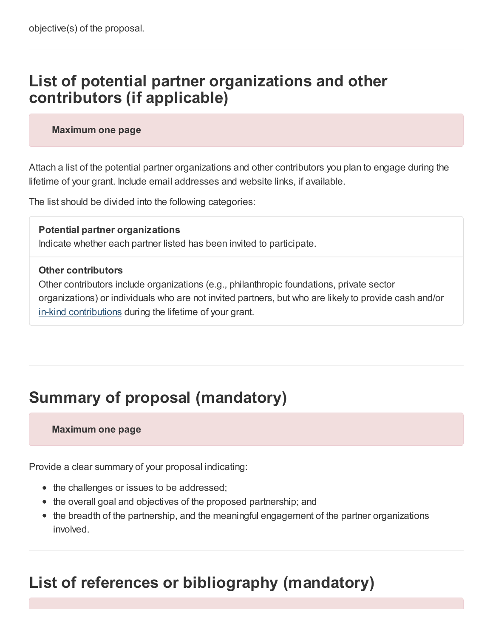## <span id="page-12-0"></span>**List of potential partner organizations and other contributors (if applicable)**

#### **Maximum one page**

Attach a list of the potential partner organizations and other contributors you plan to engage during the lifetime of your grant. Include email addresses and website links, if available.

The list should be divided into the following categories:

**Potential partner organizations** Indicate whether each partner listed has been invited to participate.

#### **Other contributors**

Other contributors include organizations (e.g., philanthropic foundations, private sector organizations) or individuals who are not invited partners, but who are likely to provide cash and/or in-kind [contributions](https://www.sshrc-crsh.gc.ca/funding-financement/programs-programmes/definitions-eng.aspx#a15) during the lifetime of your grant.

## <span id="page-12-1"></span>**Summary of proposal (mandatory)**

#### **Maximum one page**

Provide a clear summary of your proposal indicating:

- the challenges or issues to be addressed;
- the overall goal and objectives of the proposed partnership; and
- the breadth of the partnership, and the meaningful engagement of the partner organizations involved.

## <span id="page-12-2"></span>**List of references or bibliography (mandatory)**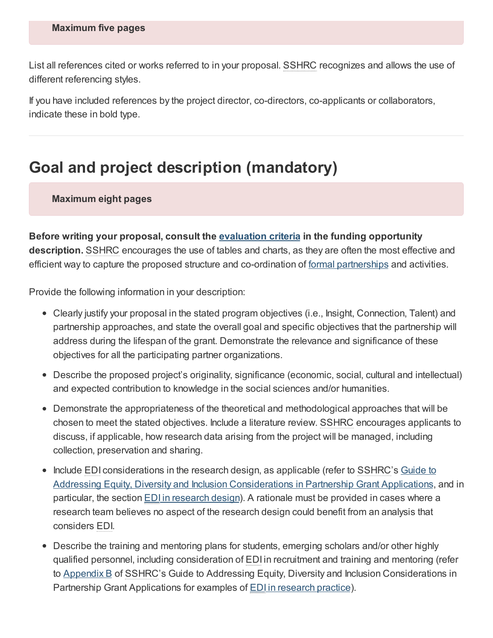List all references cited or works referred to in your proposal. SSHRC recognizes and allows the use of different referencing styles.

If you have included references by the project director, co-directors, co-applicants or collaborators, indicate these in bold type.

## <span id="page-13-0"></span>**Goal and project description (mandatory)**

**Maximum eight pages**

**Before writing your proposal, consult the [evaluation](https://www.sshrc-crsh.gc.ca/funding-financement/programs-programmes/partnership_grants_stage1-subventions_partenariat_etape1-eng.aspx#6) criteria in the funding opportunity description.** SSHRC encourages the use of tables and charts, as they are often the most effective and efficient way to capture the proposed structure and co-ordination of <u>formal [partnerships](https://www.sshrc-crsh.gc.ca/funding-financement/programs-programmes/definitions-eng.aspx#a10)</u> and activities.

Provide the following information in your description:

- Clearly justify your proposal in the stated program objectives (i.e., Insight, Connection, Talent) and partnership approaches, and state the overall goal and specific objectives that the partnership will address during the lifespan of the grant. Demonstrate the relevance and significance of these objectives for all the participating partner organizations.
- Describe the proposed project's originality, significance (economic, social, cultural and intellectual) and expected contribution to knowledge in the social sciences and/or humanities.
- Demonstrate the appropriateness of the theoretical and methodological approaches that will be chosen to meet the stated objectives. Include a literature review. SSHRC encourages applicants to discuss, if applicable, how research data arising from the project will be managed, including collection, preservation and sharing.
- Include EDI considerations in the research design, as applicable (refer to SSHRC's Guide to Addressing Equity, Diversity and Inclusion [Considerations](https://www.sshrc-crsh.gc.ca/funding-financement/apply-demande/guides/partnership_edi_guide-partenariats_guide_edi-eng.aspx) in Partnership Grant Applications, and in particular, the section EDI in [research](https://www.sshrc-crsh.gc.ca/funding-financement/apply-demande/guides/partnership_edi_guide-partenariats_guide_edi-eng.aspx#5) design). A rationale must be provided in cases where a research team believes no aspect of the research design could benefit from an analysis that considers EDI.
- Describe the training and mentoring plans for students, emerging scholars and/or other highly qualified personnel, including consideration of EDI in recruitment and training and mentoring (refer to [Appendix](https://www.sshrc-crsh.gc.ca/funding-financement/apply-demande/guides/partnership_edi_guide-partenariats_guide_edi-eng.aspx#appendix-b) B of SSHRC's Guide to Addressing Equity, Diversity and Inclusion Considerations in Partnership Grant Applications for examples of **EDI** in [research](https://www.sshrc-crsh.gc.ca/funding-financement/apply-demande/guides/partnership_edi_guide-partenariats_guide_edi-eng.aspx#4) practice).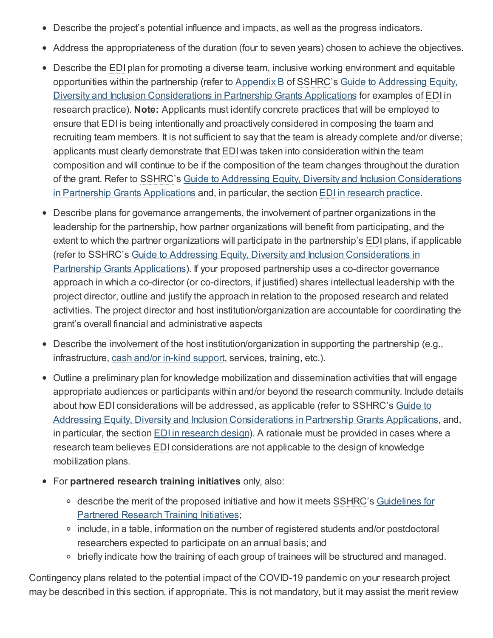- Describe the project's potential influence and impacts, as well as the progress indicators.
- Address the appropriateness of the duration (four to seven years) chosen to achieve the objectives.
- Describe the EDI plan for promoting a diverse team, inclusive working environment and equitable opportunities within the partnership (refer to [Appendix](https://www.sshrc-crsh.gc.ca/funding-financement/apply-demande/guides/partnership_edi_guide-partenariats_guide_edi-eng.aspx#appendix-b) B of SSHRC's Guide to Addressing Equity, Diversity and Inclusion [Considerations](https://www.sshrc-crsh.gc.ca/funding-financement/apply-demande/guides/partnership_edi_guide-partenariats_guide_edi-eng.aspx) in Partnership Grants Applications for examples of EDI in research practice). **Note:** Applicants must identify concrete practices that will be employed to ensure that EDI is being intentionally and proactively considered in composing the team and recruiting team members. It is not sufficient to say that the team is already complete and/or diverse; applicants must clearly demonstrate that EDI was taken into consideration within the team composition and will continue to be if the composition of the team changes throughout the duration of the grant. Refer to SSHRC's Guide to Addressing Equity, Diversity and Inclusion [Considerations](https://www.sshrc-crsh.gc.ca/funding-financement/apply-demande/guides/partnership_edi_guide-partenariats_guide_edi-eng.aspx) in Partnership Grants Applications and, in particular, the section EDI in [research](https://www.sshrc-crsh.gc.ca/funding-financement/apply-demande/guides/partnership_edi_guide-partenariats_guide_edi-eng.aspx#4) practice.
- Describe plans for governance arrangements, the involvement of partner organizations in the leadership for the partnership, how partner organizations will benefit from participating, and the extent to which the partner organizations will participate in the partnership's EDI plans, if applicable (refer to SSHRC's Guide to Addressing Equity, Diversity and Inclusion [Considerations](https://www.sshrc-crsh.gc.ca/funding-financement/apply-demande/guides/partnership_edi_guide-partenariats_guide_edi-eng.aspx) in Partnership Grants Applications). If your proposed partnership uses a co-director governance approach in which a co-director (or co-directors, if justified) shares intellectual leadership with the project director, outline and justify the approach in relation to the proposed research and related activities. The project director and host institution/organization are accountable for coordinating the grant's overall financial and administrative aspects
- Describe the involvement of the host institution/organization in supporting the partnership (e.g., infrastructure, cash and/or in-kind [support](https://www.sshrc-crsh.gc.ca/funding-financement/policies-politiques/cash_inkind-especes_en_nature-eng.aspx), services, training, etc.).
- Outline a preliminary plan for knowledge mobilization and dissemination activities that will engage appropriate audiences or participants within and/or beyond the research community. Include details about how EDI [considerations](https://www.sshrc-crsh.gc.ca/funding-financement/apply-demande/guides/partnership_edi_guide-partenariats_guide_edi-eng.aspx) will be addressed, as applicable (refer to SSHRC's Guide to Addressing Equity, Diversity and Inclusion Considerations in Partnership Grants Applications, and, in particular, the section **EDI** in [research](https://www.sshrc-crsh.gc.ca/funding-financement/apply-demande/guides/partnership_edi_guide-partenariats_guide_edi-eng.aspx#5) design). A rationale must be provided in cases where a research team believes EDI considerations are not applicable to the design of knowledge mobilization plans.
- For **partnered research training initiatives** only, also:
	- describe the merit of the proposed initiative and how it meets SSHRC's [Guidelines](https://www.sshrc-crsh.gc.ca/funding-financement/policies-politiques/partnered_research_training-partenariat_de_formation_de_recherche-eng.aspx) for Partnered Research Training Initiatives;
	- include, in a table, information on the number of registered students and/or postdoctoral researchers expected to participate on an annual basis; and
	- o briefly indicate how the training of each group of trainees will be structured and managed.

Contingency plans related to the potential impact of the COVID-19 pandemic on your research project may be described in this section, if appropriate. This is not mandatory, but it may assist the merit review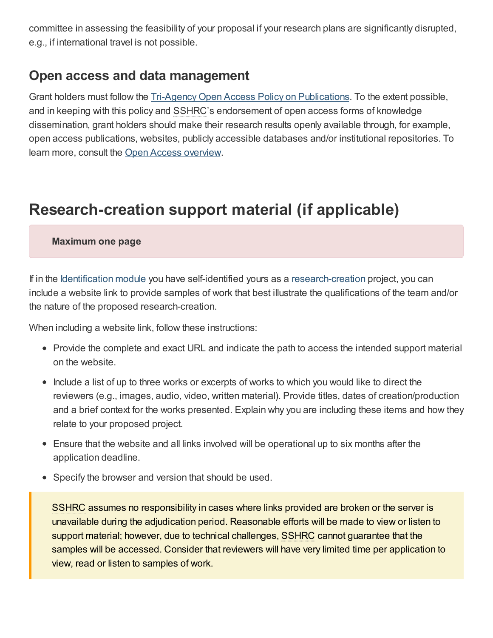committee in assessing the feasibility of your proposal if your research plans are significantly disrupted, e.g., if international travel is not possible.

### **Open access and data management**

Grant holders must follow the Tri-Agency Open Access Policy on [Publications](http://www.science.gc.ca/eic/site/063.nsf/eng/h_F6765465.html?OpenDocument). To the extent possible, and in keeping with this policy and SSHRC's endorsement of open access forms of knowledge dissemination, grant holders should make their research results openly available through, for example, open access publications, websites, publicly accessible databases and/or institutional repositories. To learn more, consult the Open Access [overview](http://www.science.gc.ca/eic/site/063.nsf/eng/h_75F21A63.html?OpenDocument).

## <span id="page-15-0"></span>**Research-creation support material (if applicable)**

#### **Maximum one page**

If in the [Identification](#page-3-0) module you have self-identified yours as a [research-creation](https://www.sshrc-crsh.gc.ca/funding-financement/programs-programmes/definitions-eng.aspx#a22) project, you can include a website link to provide samples of work that best illustrate the qualifications of the team and/or the nature of the proposed research-creation.

When including a website link, follow these instructions:

- Provide the complete and exact URL and indicate the path to access the intended support material on the website.
- Include a list of up to three works or excerpts of works to which you would like to direct the reviewers (e.g., images, audio, video, written material). Provide titles, dates of creation/production and a brief context for the works presented. Explain why you are including these items and how they relate to your proposed project.
- Ensure that the website and all links involved will be operational up to six months after the application deadline.
- Specify the browser and version that should be used.

SSHRC assumes no responsibility in cases where links provided are broken or the server is unavailable during the adjudication period. Reasonable efforts will be made to view or listen to support material; however, due to technical challenges, SSHRC cannot guarantee that the samples will be accessed. Consider that reviewers will have very limited time per application to view, read or listen to samples of work.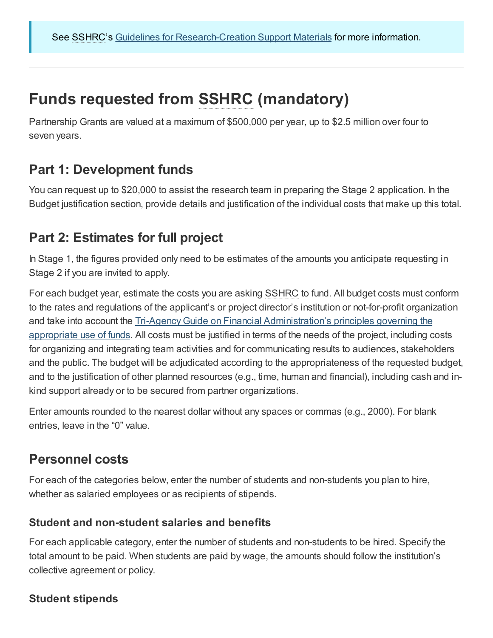## <span id="page-16-0"></span>**Funds requested from SSHRC (mandatory)**

Partnership Grants are valued at a maximum of \$500,000 per year, up to \$2.5 million over four to seven years.

### **Part 1: Development funds**

You can request up to \$20,000 to assist the research team in preparing the Stage 2 application. In the Budget justification section, provide details and justification of the individual costs that make up this total.

### **Part 2: Estimates for full project**

In Stage 1, the figures provided only need to be estimates of the amounts you anticipate requesting in Stage 2 if you are invited to apply.

For each budget year, estimate the costs you are asking SSHRC to fund. All budget costs must conform to the rates and regulations of the applicant's or project director's institution or not-for-profit organization and take into account the Tri-Agency Guide on Financial [Administration's](https://www.nserc-crsng.gc.ca/InterAgency-Interorganismes/TAFA-AFTO/guide-guide_eng.asp#10) principles governing the appropriate use of funds. All costs must be justified in terms of the needs of the project, including costs for organizing and integrating team activities and for communicating results to audiences, stakeholders and the public. The budget will be adjudicated according to the appropriateness of the requested budget, and to the justification of other planned resources (e.g., time, human and financial), including cash and inkind support already or to be secured from partner organizations.

Enter amounts rounded to the nearest dollar without any spaces or commas (e.g., 2000). For blank entries, leave in the "0" value.

### **Personnel costs**

For each of the categories below, enter the number of students and non-students you plan to hire, whether as salaried employees or as recipients of stipends.

### **Student and non-student salaries and benefits**

For each applicable category, enter the number of students and non-students to be hired. Specify the total amount to be paid. When students are paid by wage, the amounts should follow the institution's collective agreement or policy.

### **Student stipends**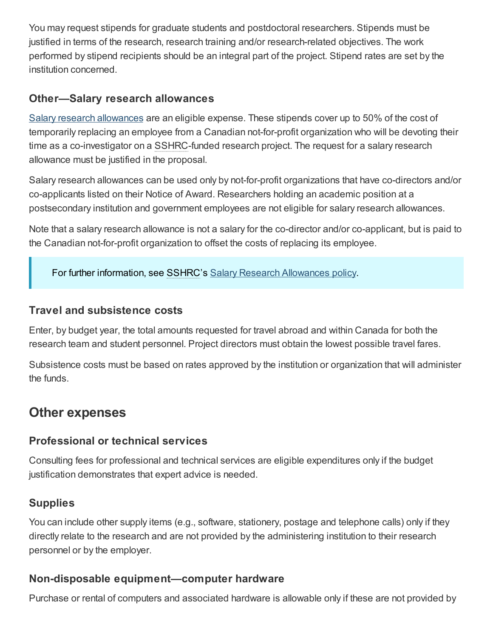You may request stipends for graduate students and postdoctoral researchers. Stipends must be justified in terms of the research, research training and/or research-related objectives. The work performed by stipend recipients should be an integral part of the project. Stipend rates are set by the institution concerned.

### **Other—Salary research allowances**

Salary research [allowances](https://www.sshrc-crsh.gc.ca/funding-financement/policies-politiques/g_stipends-s_indemnite-eng.aspx) are an eligible expense. These stipends cover up to 50% of the cost of temporarily replacing an employee from a Canadian not-for-profit organization who will be devoting their time as a co-investigator on a SSHRC-funded research project. The request for a salary research allowance must be justified in the proposal.

Salary research allowances can be used only by not-for-profit organizations that have co-directors and/or co-applicants listed on their Notice of Award. Researchers holding an academic position at a postsecondary institution and government employees are not eligible for salary research allowances.

Note that a salary research allowance is not a salary for the co-director and/or co-applicant, but is paid to the Canadian not-for-profit organization to offset the costs of replacing its employee.

For further information, see SSHRC's Salary Research [Allowances](https://www.sshrc-crsh.gc.ca/funding-financement/policies-politiques/g_stipends-s_indemnite-eng.aspx) policy.

### **Travel and subsistence costs**

Enter, by budget year, the total amounts requested for travel abroad and within Canada for both the research team and student personnel. Project directors must obtain the lowest possible travel fares.

Subsistence costs must be based on rates approved by the institution or organization that will administer the funds.

### **Other expenses**

### **Professional or technical services**

Consulting fees for professional and technical services are eligible expenditures only if the budget justification demonstrates that expert advice is needed.

### **Supplies**

You can include other supply items (e.g., software, stationery, postage and telephone calls) only if they directly relate to the research and are not provided by the administering institution to their research personnel or by the employer.

### **Non-disposable equipment—computer hardware**

Purchase or rental of computers and associated hardware is allowable only if these are not provided by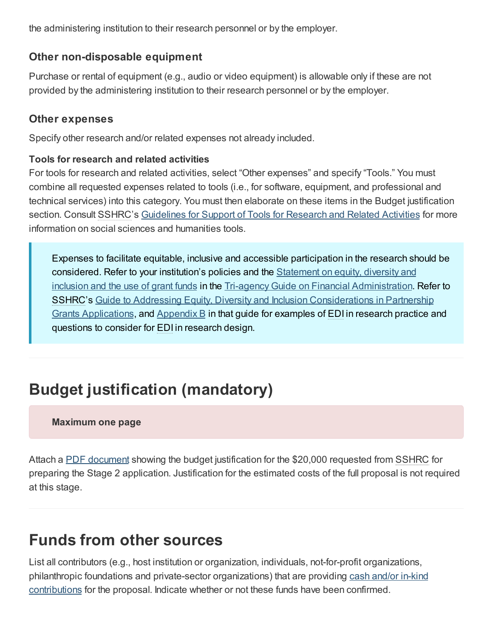the administering institution to their research personnel or by the employer.

### **Other non-disposable equipment**

Purchase or rental of equipment (e.g., audio or video equipment) is allowable only if these are not provided by the administering institution to their research personnel or by the employer.

### **Other expenses**

Specify other research and/or related expenses not already included.

#### **Tools for research and related activities**

For tools for research and related activities, select "Other expenses" and specify "Tools." You must combine all requested expenses related to tools (i.e., for software, equipment, and professional and technical services) into this category. You must then elaborate on these items in the Budget justification section. Consult SSHRC's [Guidelines](https://www.sshrc-crsh.gc.ca/funding-financement/policies-politiques/support_tools_soutien_outils-eng.aspx) for Support of Tools for Research and Related Activities for more information on social sciences and humanities tools.

Expenses to facilitate equitable, inclusive and accessible participation in the research should be considered. Refer to your institution's policies and the Statement on equity, diversity and inclusion and the use of grant funds in the Tri-agency Guide on Financial [Administration.](https://www.nserc-crsng.gc.ca/InterAgency-Interorganismes/TAFA-AFTO/guide-guide_eng.asp#8) Refer to SSHRC's Guide to Addressing Equity, Diversity and Inclusion [Considerations](https://www.sshrc-crsh.gc.ca/funding-financement/apply-demande/guides/partnership_edi_guide-partenariats_guide_edi-eng.aspx) in Partnership Grants Applications, and [Appendix](https://www.sshrc-crsh.gc.ca/funding-financement/apply-demande/guides/partnership_edi_guide-partenariats_guide_edi-eng.aspx#appendix-b) B in that guide for examples of EDI in research practice and questions to consider for EDI in research design.

## <span id="page-18-0"></span>**Budget justification (mandatory)**

#### **Maximum one page**

Attach a PDF [document](#page-3-1) showing the budget justification for the \$20,000 requested from SSHRC for preparing the Stage 2 application. Justification for the estimated costs of the full proposal is not required at this stage.

## <span id="page-18-1"></span>**Funds from other sources**

List all contributors (e.g., host institution or organization, individuals, not-for-profit organizations, philanthropic foundations and private-sector [organizations\)](https://www.sshrc-crsh.gc.ca/funding-financement/policies-politiques/cash_inkind-especes_en_nature-eng.aspx) that are providing cash and/or in-kind contributions for the proposal. Indicate whether or not these funds have been confirmed.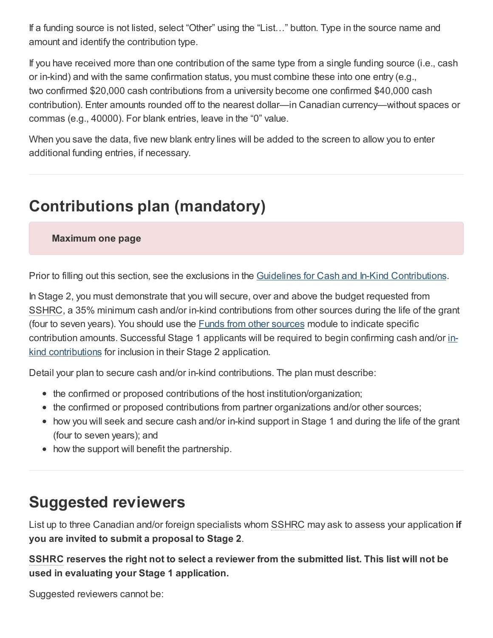If a funding source is not listed, select "Other" using the "List…" button. Type in the source name and amount and identify the contribution type.

If you have received more than one contribution of the same type from a single funding source (i.e., cash or in-kind) and with the same confirmation status, you must combine these into one entry (e.g., two confirmed \$20,000 cash contributions from a university become one confirmed \$40,000 cash contribution). Enter amounts rounded off to the nearest dollar—in Canadian currency—without spaces or commas (e.g., 40000). For blank entries, leave in the "0" value.

When you save the data, five new blank entry lines will be added to the screen to allow you to enter additional funding entries, if necessary.

## <span id="page-19-0"></span>**Contributions plan (mandatory)**

**Maximum one page**

Prior to filling out this section, see the exclusions in the Guidelines for Cash and In-Kind [Contributions](https://www.sshrc-crsh.gc.ca/funding-financement/policies-politiques/cash_inkind-especes_en_nature-eng.aspx).

In Stage 2, you must demonstrate that you will secure, over and above the budget requested from SSHRC, a 35% minimum cash and/or in-kind contributions from other sources during the life of the grant (four to seven years). You should use the Funds from other [sources](#page-18-1) module to indicate specific contribution amounts. Successful Stage 1 applicants will be required to begin confirming cash and/or inkind [contributions](https://www.sshrc-crsh.gc.ca/funding-financement/programs-programmes/definitions-eng.aspx#a15) for inclusion in their Stage 2 application.

Detail your plan to secure cash and/or in-kind contributions. The plan must describe:

- the confirmed or proposed contributions of the host institution/organization;
- the confirmed or proposed contributions from partner organizations and/or other sources;
- how you will seek and secure cash and/or in-kind support in Stage 1 and during the life of the grant (four to seven years); and
- how the support will benefit the partnership.

## <span id="page-19-1"></span>**Suggested reviewers**

List up to three Canadian and/or foreign specialists whom SSHRC may ask to assess your application **if you are invited to submit a proposal to Stage 2**.

**SSHRC reserves the right not to select a reviewer from the submitted list. This list will not be used in evaluating your Stage 1 application.**

Suggested reviewers cannot be: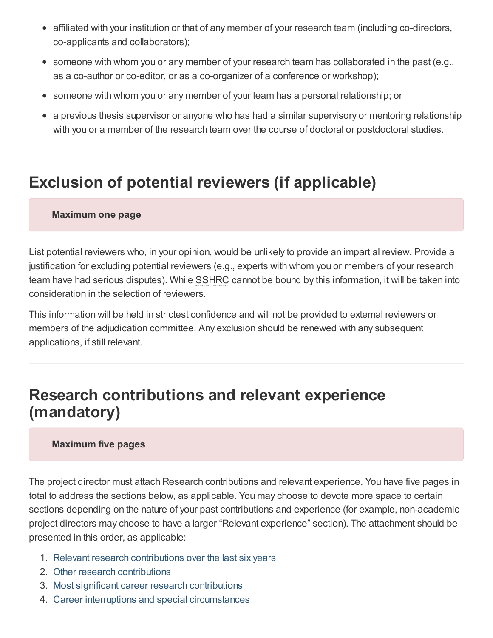- affiliated with your institution or that of any member of your research team (including co-directors, co-applicants and collaborators);
- someone with whom you or any member of your research team has collaborated in the past (e.g., as a co-author or co-editor, or as a co-organizer of a conference or workshop);
- someone with whom you or any member of your team has a personal relationship; or  $\bullet$
- a previous thesis supervisor or anyone who has had a similar supervisory or mentoring relationship with you or a member of the research team over the course of doctoral or postdoctoral studies.

## <span id="page-20-0"></span>**Exclusion of potential reviewers (if applicable)**

#### **Maximum one page**

List potential reviewers who, in your opinion, would be unlikely to provide an impartial review. Provide a justification for excluding potential reviewers (e.g., experts with whom you or members of your research team have had serious disputes). While SSHRC cannot be bound by this information, it will be taken into consideration in the selection of reviewers.

This information will be held in strictest confidence and will not be provided to external reviewers or members of the adjudication committee. Any exclusion should be renewed with any subsequent applications, if still relevant.

## <span id="page-20-1"></span>**Research contributions and relevant experience (mandatory)**

#### **Maximum five pages**

The project director must attach Research contributions and relevant experience. You have five pages in total to address the sections below, as applicable. You may choose to devote more space to certain sections depending on the nature of your past contributions and experience (for example, non-academic project directors may choose to have a larger "Relevant experience" section). The attachment should be presented in this order, as applicable:

- 1. Relevant research [contributions](#page-21-0) over the last six years
- 2. Other research [contributions](#page-22-0)
- 3. Most significant career research [contributions](#page-22-1)
- 4. Career interruptions and special [circumstances](#page-22-2)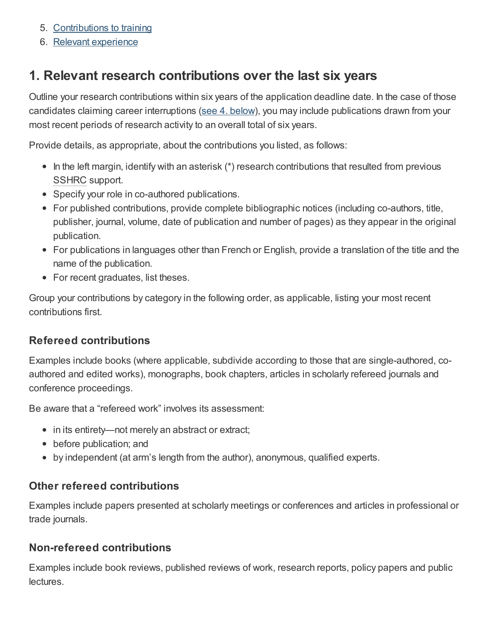- 5. [Contributions](#page-23-0) to training
- 6. Relevant [experience](#page-23-1)

## <span id="page-21-0"></span>**1. Relevant research contributions over the last six years**

Outline your research contributions within six years of the application deadline date. In the case of those candidates claiming career interruptions (see 4. [below](#page-22-2)), you may include publications drawn from your most recent periods of research activity to an overall total of six years.

Provide details, as appropriate, about the contributions you listed, as follows:

- $\bullet$  In the left margin, identify with an asterisk (\*) research contributions that resulted from previous SSHRC support.
- Specify your role in co-authored publications.
- For published contributions, provide complete bibliographic notices (including co-authors, title, publisher, journal, volume, date of publication and number of pages) as they appear in the original publication.
- For publications in languages other than French or English, provide a translation of the title and the name of the publication.
- For recent graduates, list theses.

Group your contributions by category in the following order, as applicable, listing your most recent contributions first.

### **Refereed contributions**

Examples include books (where applicable, subdivide according to those that are single-authored, coauthored and edited works), monographs, book chapters, articles in scholarly refereed journals and conference proceedings.

Be aware that a "refereed work" involves its assessment:

- in its entirety—not merely an abstract or extract;
- before publication; and
- by independent (at arm's length from the author), anonymous, qualified experts.

### **Other refereed contributions**

Examples include papers presented at scholarly meetings or conferences and articles in professional or trade journals.

### **Non-refereed contributions**

Examples include book reviews, published reviews of work, research reports, policy papers and public lectures.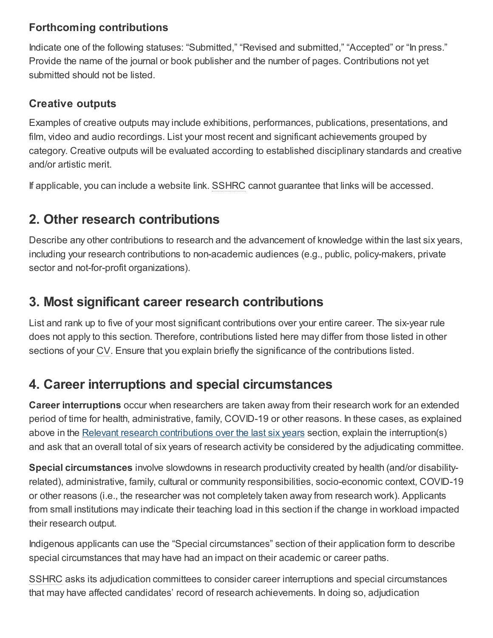### **Forthcoming contributions**

Indicate one of the following statuses: "Submitted," "Revised and submitted," "Accepted" or "In press." Provide the name of the journal or book publisher and the number of pages. Contributions not yet submitted should not be listed.

### **Creative outputs**

Examples of creative outputs may include exhibitions, performances, publications, presentations, and film, video and audio recordings. List your most recent and significant achievements grouped by category. Creative outputs will be evaluated according to established disciplinary standards and creative and/or artistic merit.

If applicable, you can include a website link. SSHRC cannot guarantee that links will be accessed.

## <span id="page-22-0"></span>**2. Other research contributions**

Describe any other contributions to research and the advancement of knowledge within the last six years, including your research contributions to non-academic audiences (e.g., public, policy-makers, private sector and not-for-profit organizations).

### <span id="page-22-1"></span>**3. Most significant career research contributions**

List and rank up to five of your most significant contributions over your entire career. The six-year rule does not apply to this section. Therefore, contributions listed here may differ from those listed in other sections of your CV. Ensure that you explain briefly the significance of the contributions listed.

## <span id="page-22-2"></span>**4. Career interruptions and special circumstances**

**Career interruptions** occur when researchers are taken away from their research work for an extended period of time for health, administrative, family, COVID-19 or other reasons. In these cases, as explained above in the Relevant research [contributions](#page-21-0) over the last six years section, explain the interruption(s) and ask that an overall total of six years of research activity be considered by the adjudicating committee.

**Special circumstances** involve slowdowns in research productivity created by health (and/or disabilityrelated), administrative, family, cultural or community responsibilities, socio-economic context, COVID-19 or other reasons (i.e., the researcher was not completely taken away from research work). Applicants from small institutions may indicate their teaching load in this section if the change in workload impacted their research output.

Indigenous applicants can use the "Special circumstances" section of their application form to describe special circumstances that may have had an impact on their academic or career paths.

SSHRC asks its adjudication committees to consider career interruptions and special circumstances that may have affected candidates' record of research achievements. In doing so, adjudication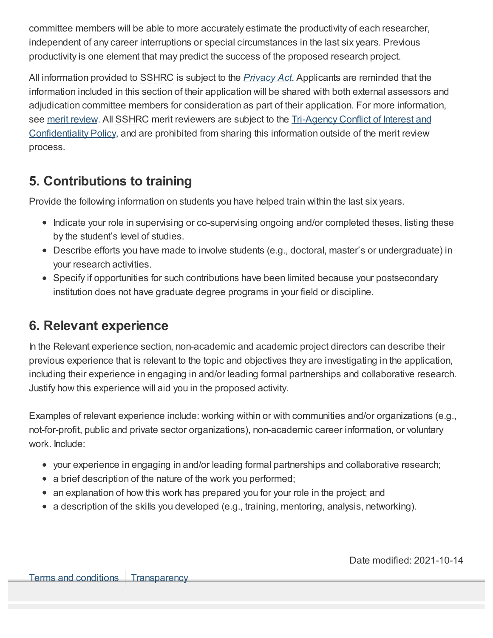committee members will be able to more accurately estimate the productivity of each researcher, independent of any career interruptions or special circumstances in the last six years. Previous productivity is one element that may predict the success of the proposed research project.

All information provided to SSHRC is subject to the *[Privacy](http://laws-lois.justice.gc.ca/eng/acts/P-21/index.html) Act*. Applicants are reminded that the information included in this section of their application will be shared with both external assessors and adjudication committee members for consideration as part of their application. For more information, see merit [review.](https://www.sshrc-crsh.gc.ca/funding-financement/merit_review-evaluation_du_merite/index-eng.aspx) All SSHRC merit reviewers are subject to the Tri-Agency Conflict of Interest and [Confidentiality](http://www.science.gc.ca/eic/site/063.nsf/eng/h_90108244.html) Policy, and are prohibited from sharing this information outside of the merit review process.

### <span id="page-23-0"></span>**5. Contributions to training**

Provide the following information on students you have helped train within the last six years.

- Indicate your role in supervising or co-supervising ongoing and/or completed theses, listing these by the student's level of studies.
- Describe efforts you have made to involve students (e.g., doctoral, master's or undergraduate) in your research activities.
- Specify if opportunities for such contributions have been limited because your postsecondary institution does not have graduate degree programs in your field or discipline.

### <span id="page-23-1"></span>**6. Relevant experience**

In the Relevant experience section, non-academic and academic project directors can describe their previous experience that is relevant to the topic and objectives they are investigating in the application, including their experience in engaging in and/or leading formal partnerships and collaborative research. Justify how this experience will aid you in the proposed activity.

Examples of relevant experience include: working within or with communities and/or organizations (e.g., not-for-profit, public and private sector organizations), non-academic career information, or voluntary work. Include:

- your experience in engaging in and/or leading formal partnerships and collaborative research;
- a brief description of the nature of the work you performed;
- an explanation of how this work has prepared you for your role in the project; and
- $\bullet$  a description of the skills you developed (e.g., training, mentoring, analysis, networking).